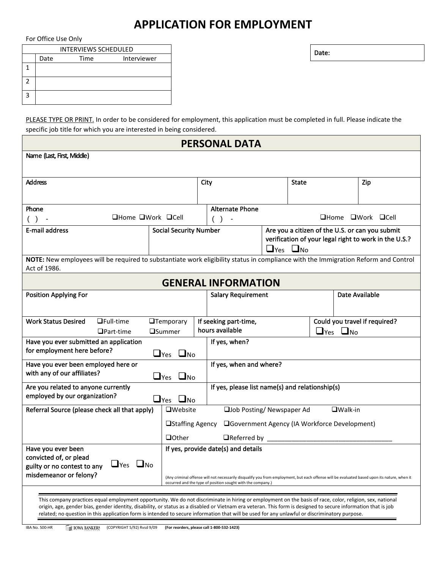## **APPLICATION FOR EMPLOYMENT**

For Office Use Only

| INTERVIEWS SCHEDULED          |      |      |             | Date: |
|-------------------------------|------|------|-------------|-------|
|                               | Date | Time | Interviewer |       |
| <b>.</b>                      |      |      |             |       |
| ∽<br>∸                        |      |      |             |       |
| $\overline{\phantom{0}}$<br>ت |      |      |             |       |

PLEASE TYPE OR PRINT. In order to be considered for employment, this application must be completed in full. Please indicate the specific job title for which you are interested in being considered.

| <b>PERSONAL DATA</b>                                                                                                                                                                                                                                                                                                                                                                                                                                                        |                                                                                                                                                                                                             |                                                                                                                                                                   |                                                                                                   |  |              |  |                       |     |
|-----------------------------------------------------------------------------------------------------------------------------------------------------------------------------------------------------------------------------------------------------------------------------------------------------------------------------------------------------------------------------------------------------------------------------------------------------------------------------|-------------------------------------------------------------------------------------------------------------------------------------------------------------------------------------------------------------|-------------------------------------------------------------------------------------------------------------------------------------------------------------------|---------------------------------------------------------------------------------------------------|--|--------------|--|-----------------------|-----|
| Name (Last, First, Middle)                                                                                                                                                                                                                                                                                                                                                                                                                                                  |                                                                                                                                                                                                             |                                                                                                                                                                   |                                                                                                   |  |              |  |                       |     |
|                                                                                                                                                                                                                                                                                                                                                                                                                                                                             |                                                                                                                                                                                                             |                                                                                                                                                                   |                                                                                                   |  |              |  |                       |     |
| <b>Address</b>                                                                                                                                                                                                                                                                                                                                                                                                                                                              |                                                                                                                                                                                                             |                                                                                                                                                                   | City                                                                                              |  | <b>State</b> |  |                       | Zip |
|                                                                                                                                                                                                                                                                                                                                                                                                                                                                             |                                                                                                                                                                                                             |                                                                                                                                                                   |                                                                                                   |  |              |  |                       |     |
| Phone<br>□Home □Work □Cell<br>$( )$ -                                                                                                                                                                                                                                                                                                                                                                                                                                       |                                                                                                                                                                                                             | <b>Alternate Phone</b><br>$\Box$ Home $\Box$ Work $\Box$ Cell                                                                                                     |                                                                                                   |  |              |  |                       |     |
| <b>E-mail address</b>                                                                                                                                                                                                                                                                                                                                                                                                                                                       |                                                                                                                                                                                                             | Are you a citizen of the U.S. or can you submit<br><b>Social Security Number</b><br>verification of your legal right to work in the U.S.?<br>$\Box$ Yes $\Box$ No |                                                                                                   |  |              |  |                       |     |
| NOTE: New employees will be required to substantiate work eligibility status in compliance with the Immigration Reform and Control<br>Act of 1986.                                                                                                                                                                                                                                                                                                                          |                                                                                                                                                                                                             |                                                                                                                                                                   |                                                                                                   |  |              |  |                       |     |
| <b>GENERAL INFORMATION</b>                                                                                                                                                                                                                                                                                                                                                                                                                                                  |                                                                                                                                                                                                             |                                                                                                                                                                   |                                                                                                   |  |              |  |                       |     |
| <b>Position Applying For</b>                                                                                                                                                                                                                                                                                                                                                                                                                                                |                                                                                                                                                                                                             |                                                                                                                                                                   | <b>Salary Requirement</b>                                                                         |  |              |  | <b>Date Available</b> |     |
|                                                                                                                                                                                                                                                                                                                                                                                                                                                                             |                                                                                                                                                                                                             |                                                                                                                                                                   |                                                                                                   |  |              |  |                       |     |
| <b>Work Status Desired</b><br>$Q$ Full-time<br>$\Box$ Part-time                                                                                                                                                                                                                                                                                                                                                                                                             | <b>OTemporary</b><br><b>O</b> Summer                                                                                                                                                                        |                                                                                                                                                                   | Could you travel if required?<br>If seeking part-time,<br>hours available<br>$\Box$ Yes $\Box$ No |  |              |  |                       |     |
| Have you ever submitted an application                                                                                                                                                                                                                                                                                                                                                                                                                                      |                                                                                                                                                                                                             | If yes, when?                                                                                                                                                     |                                                                                                   |  |              |  |                       |     |
| for employment here before?                                                                                                                                                                                                                                                                                                                                                                                                                                                 | $\Box$ Yes $\Box$ No                                                                                                                                                                                        |                                                                                                                                                                   |                                                                                                   |  |              |  |                       |     |
| Have you ever been employed here or<br>with any of our affiliates?                                                                                                                                                                                                                                                                                                                                                                                                          | $\Box$ Yes $\Box$ No                                                                                                                                                                                        |                                                                                                                                                                   | If yes, when and where?                                                                           |  |              |  |                       |     |
| Are you related to anyone currently                                                                                                                                                                                                                                                                                                                                                                                                                                         |                                                                                                                                                                                                             |                                                                                                                                                                   | If yes, please list name(s) and relationship(s)                                                   |  |              |  |                       |     |
| employed by our organization?                                                                                                                                                                                                                                                                                                                                                                                                                                               | $\Box$ Yes $\Box$ No                                                                                                                                                                                        |                                                                                                                                                                   |                                                                                                   |  |              |  |                       |     |
| Referral Source (please check all that apply)                                                                                                                                                                                                                                                                                                                                                                                                                               | <b>O</b> Website                                                                                                                                                                                            |                                                                                                                                                                   | □Job Posting/ Newspaper Ad<br>$\Box$ Walk-in                                                      |  |              |  |                       |     |
|                                                                                                                                                                                                                                                                                                                                                                                                                                                                             |                                                                                                                                                                                                             | □Staffing Agency<br>□Government Agency (IA Workforce Development)                                                                                                 |                                                                                                   |  |              |  |                       |     |
| <b>Q</b> Other<br>$\Box$ Referred by $\Box$<br>If yes, provide date(s) and details                                                                                                                                                                                                                                                                                                                                                                                          |                                                                                                                                                                                                             |                                                                                                                                                                   |                                                                                                   |  |              |  |                       |     |
| Have you ever been<br>convicted of, or plead<br>$\Box$ Yes $\Box$ No<br>guilty or no contest to any<br>misdemeanor or felony?                                                                                                                                                                                                                                                                                                                                               | (Any criminal offense will not necessarily disqualify you from employment, but each offense will be evaluated based upon its nature, when it<br>occurred and the type of position sought with the company.) |                                                                                                                                                                   |                                                                                                   |  |              |  |                       |     |
| This company practices equal employment opportunity. We do not discriminate in hiring or employment on the basis of race, color, religion, sex, national<br>origin, age, gender bias, gender identity, disability, or status as a disabled or Vietnam era veteran. This form is designed to secure information that is job<br>related; no question in this application form is intended to secure information that will be used for any unlawful or discriminatory purpose. |                                                                                                                                                                                                             |                                                                                                                                                                   |                                                                                                   |  |              |  |                       |     |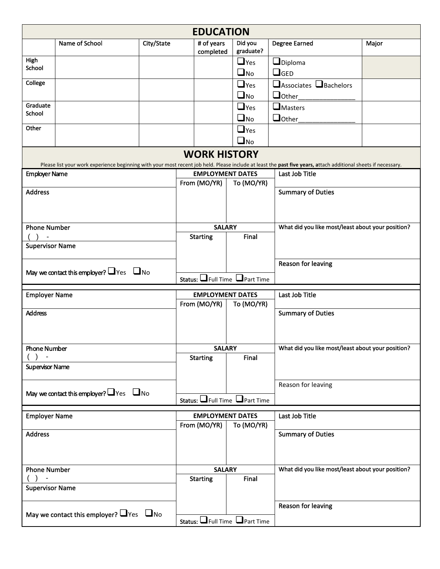|                                                    | <b>EDUCATION</b>                                                                                                                                                                      |            |                                           |                                         |                             |                                                   |       |  |  |  |
|----------------------------------------------------|---------------------------------------------------------------------------------------------------------------------------------------------------------------------------------------|------------|-------------------------------------------|-----------------------------------------|-----------------------------|---------------------------------------------------|-------|--|--|--|
|                                                    | Name of School                                                                                                                                                                        | City/State |                                           | # of years<br>completed                 | Did you<br>graduate?        | <b>Degree Earned</b>                              | Major |  |  |  |
| High<br>School                                     |                                                                                                                                                                                       |            |                                           |                                         | $\Box$ Yes                  | $\Box$ Diploma                                    |       |  |  |  |
|                                                    |                                                                                                                                                                                       |            |                                           |                                         | $\Box$ No                   | $\Box$ GED                                        |       |  |  |  |
| College                                            |                                                                                                                                                                                       |            |                                           |                                         | $\Box$ Yes                  | □ Associates □ Bachelors                          |       |  |  |  |
|                                                    |                                                                                                                                                                                       |            |                                           |                                         | $\square$ No                | $\Box$ Other                                      |       |  |  |  |
| Graduate<br>School                                 |                                                                                                                                                                                       |            |                                           |                                         | $\Box$ Yes                  | $\Box$ Masters                                    |       |  |  |  |
| Other                                              |                                                                                                                                                                                       |            |                                           |                                         | $\square$ No                | $\Box$ Other                                      |       |  |  |  |
|                                                    |                                                                                                                                                                                       |            |                                           |                                         | $\Box$ Yes                  |                                                   |       |  |  |  |
|                                                    |                                                                                                                                                                                       |            |                                           |                                         | $\Box$ No                   |                                                   |       |  |  |  |
|                                                    | <b>WORK HISTORY</b><br>Please list your work experience beginning with your most recent job held. Please include at least the past five years, attach additional sheets if necessary. |            |                                           |                                         |                             |                                                   |       |  |  |  |
| <b>Employer Name</b>                               |                                                                                                                                                                                       |            |                                           | <b>EMPLOYMENT DATES</b><br>From (MO/YR) | To (MO/YR)                  | Last Job Title                                    |       |  |  |  |
| <b>Address</b>                                     |                                                                                                                                                                                       |            |                                           |                                         |                             | <b>Summary of Duties</b>                          |       |  |  |  |
|                                                    |                                                                                                                                                                                       |            |                                           |                                         |                             |                                                   |       |  |  |  |
|                                                    |                                                                                                                                                                                       |            |                                           |                                         |                             |                                                   |       |  |  |  |
| <b>Phone Number</b>                                |                                                                                                                                                                                       |            | <b>SALARY</b>                             |                                         | Final                       | What did you like most/least about your position? |       |  |  |  |
| <b>Supervisor Name</b>                             |                                                                                                                                                                                       |            | <b>Starting</b>                           |                                         |                             |                                                   |       |  |  |  |
|                                                    |                                                                                                                                                                                       |            |                                           |                                         |                             |                                                   |       |  |  |  |
|                                                    | May we contact this employer? $\Box$ Yes $\Box$ No                                                                                                                                    |            |                                           |                                         |                             | <b>Reason for leaving</b>                         |       |  |  |  |
|                                                    |                                                                                                                                                                                       |            | Status: $\Box$ Full Time $\Box$ Part Time |                                         |                             |                                                   |       |  |  |  |
| <b>Employer Name</b>                               |                                                                                                                                                                                       |            | <b>EMPLOYMENT DATES</b>                   |                                         |                             | Last Job Title                                    |       |  |  |  |
|                                                    |                                                                                                                                                                                       |            | From (MO/YR)                              |                                         | To (MO/YR)                  |                                                   |       |  |  |  |
| <b>Address</b>                                     |                                                                                                                                                                                       |            |                                           |                                         |                             | <b>Summary of Duties</b>                          |       |  |  |  |
|                                                    |                                                                                                                                                                                       |            |                                           |                                         |                             |                                                   |       |  |  |  |
|                                                    |                                                                                                                                                                                       |            |                                           |                                         |                             |                                                   |       |  |  |  |
| <b>Phone Number</b>                                |                                                                                                                                                                                       |            |                                           | <b>SALARY</b><br><b>Starting</b>        | Final                       | What did you like most/least about your position? |       |  |  |  |
| <b>Supervisor Name</b>                             |                                                                                                                                                                                       |            |                                           |                                         |                             |                                                   |       |  |  |  |
|                                                    |                                                                                                                                                                                       |            |                                           |                                         |                             |                                                   |       |  |  |  |
| May we contact this employer? $\Box$ Yes $\Box$ No |                                                                                                                                                                                       |            |                                           |                                         |                             | Reason for leaving                                |       |  |  |  |
| Status: <b>O</b> Full Time <b>O</b> Part Time      |                                                                                                                                                                                       |            |                                           |                                         |                             |                                                   |       |  |  |  |
| <b>Employer Name</b>                               |                                                                                                                                                                                       |            |                                           | <b>EMPLOYMENT DATES</b>                 |                             | Last Job Title                                    |       |  |  |  |
|                                                    |                                                                                                                                                                                       |            | From (MO/YR)                              |                                         | To (MO/YR)                  |                                                   |       |  |  |  |
| <b>Address</b>                                     |                                                                                                                                                                                       |            |                                           |                                         | <b>Summary of Duties</b>    |                                                   |       |  |  |  |
|                                                    |                                                                                                                                                                                       |            |                                           |                                         |                             |                                                   |       |  |  |  |
| <b>Phone Number</b>                                |                                                                                                                                                                                       |            |                                           | <b>SALARY</b>                           |                             | What did you like most/least about your position? |       |  |  |  |
|                                                    |                                                                                                                                                                                       |            |                                           | <b>Starting</b>                         | Final                       |                                                   |       |  |  |  |
| <b>Supervisor Name</b>                             |                                                                                                                                                                                       |            |                                           |                                         |                             |                                                   |       |  |  |  |
|                                                    |                                                                                                                                                                                       |            |                                           |                                         |                             | <b>Reason for leaving</b>                         |       |  |  |  |
| May we contact this employer? $\Box$ Yes $\Box$ No |                                                                                                                                                                                       |            |                                           |                                         |                             |                                                   |       |  |  |  |
|                                                    |                                                                                                                                                                                       |            |                                           |                                         | Status: Full Time Part Time |                                                   |       |  |  |  |